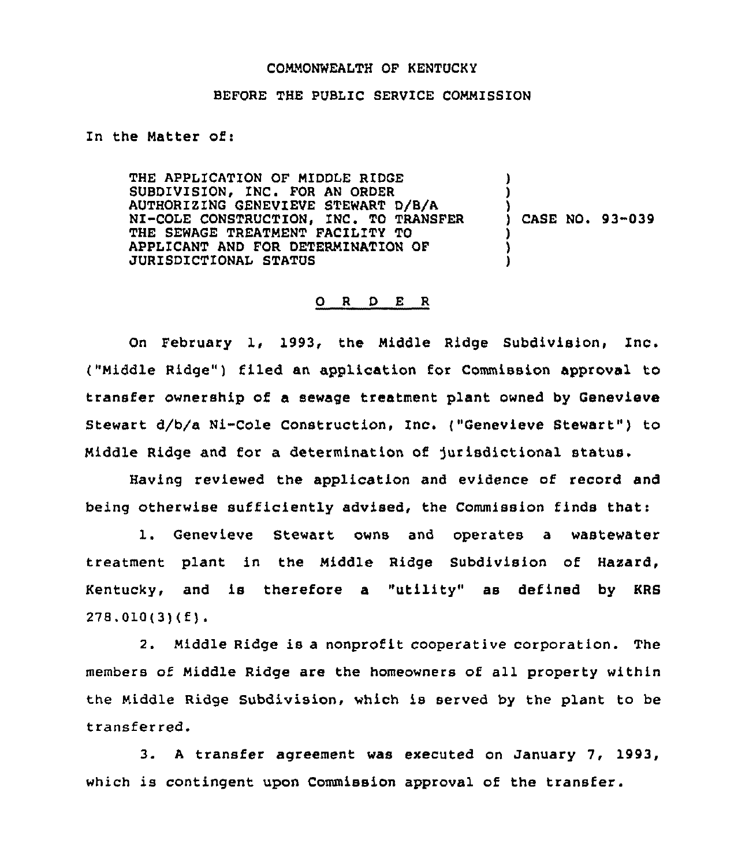## COMMONWEALTH OF KENTUCKY

## BEFORE THE PUBLIC SERVICE COMMISSION

In the Matter of:

THE APPLICATION OF MIDDLE RIDGE SUBDIVISION, INC. FOR AN ORDER AUTHORIZING GENEVIEVE STEWART D/B/A NI-COLE CONSTRUCTION, INC. TO TRANSFER THE SEWAGE TREATMENT FACILITY TO APPLICANT AND FOR DETERMZNATION OF JURISDICTIONAL STATUS ) ) ) ) CASE NO. 93-039 ) ) )

## 0 <sup>R</sup> <sup>D</sup> E <sup>R</sup>

On February 1, 1993, the Middle Ridge Subdivision, Inc. ("Middle Ridge") filed an application for Commission approval to transfer ownership of a sewage treatment plant owned by Genevieve Stewart d/b/a Ni-Cole Construction, Inc. ("Genevieve Stewart") to Middle Ridge and for a determination of jurisdictional status.

Having reviewed the application and evidence of record and being otherwise sufficiently advised, the Commission finds that:

1. Genevieve Stewart owns and operates <sup>a</sup> wastewater treatment plant in the Middle Ridge Subdivision of Hazard, Kentucky, and is therefore a "utility" as defined by KRS 278.010(3)(f).

2. Middle Ridge is a nonprofit cooperative corporation. The members of Middle Ridge are the homeowners of all property within the Middle Ridge Subdivision, which is served by the plant to be transferred.

3. <sup>A</sup> transfer agreement was executed on January 7, 1993, which is contingent upon Commission approval of the transfer.